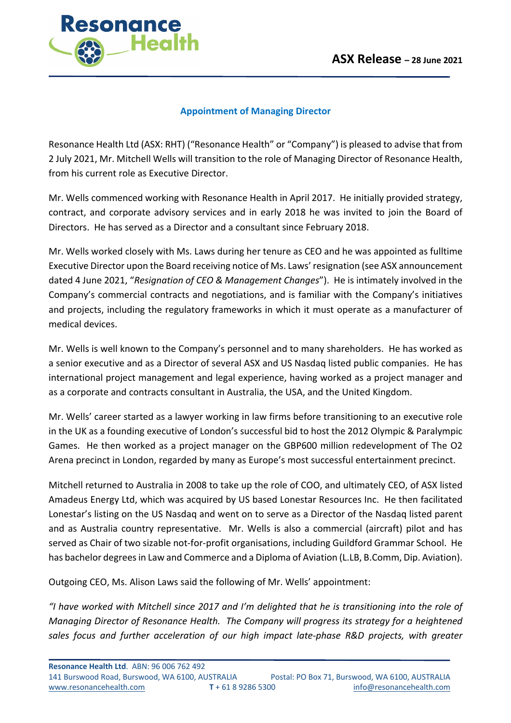

## **Appointment of Managing Director**

Resonance Health Ltd (ASX: RHT) ("Resonance Health" or "Company") is pleased to advise that from 2 July 2021, Mr. Mitchell Wells will transition to the role of Managing Director of Resonance Health, from his current role as Executive Director.

Mr. Wells commenced working with Resonance Health in April 2017. He initially provided strategy, contract, and corporate advisory services and in early 2018 he was invited to join the Board of Directors. He has served as a Director and a consultant since February 2018.

Mr. Wells worked closely with Ms. Laws during her tenure as CEO and he was appointed as fulltime Executive Director upon the Board receiving notice of Ms. Laws' resignation (see ASX announcement dated 4 June 2021, "*Resignation of CEO & Management Changes*"). He is intimately involved in the Company's commercial contracts and negotiations, and is familiar with the Company's initiatives and projects, including the regulatory frameworks in which it must operate as a manufacturer of medical devices.

Mr. Wells is well known to the Company's personnel and to many shareholders. He has worked as a senior executive and as a Director of several ASX and US Nasdaq listed public companies. He has international project management and legal experience, having worked as a project manager and as a corporate and contracts consultant in Australia, the USA, and the United Kingdom.

Mr. Wells' career started as a lawyer working in law firms before transitioning to an executive role in the UK as a founding executive of London's successful bid to host the 2012 Olympic & Paralympic Games. He then worked as a project manager on the GBP600 million redevelopment of The O2 Arena precinct in London, regarded by many as Europe's most successful entertainment precinct.

Mitchell returned to Australia in 2008 to take up the role of COO, and ultimately CEO, of ASX listed Amadeus Energy Ltd, which was acquired by US based Lonestar Resources Inc. He then facilitated Lonestar's listing on the US Nasdaq and went on to serve as a Director of the Nasdaq listed parent and as Australia country representative. Mr. Wells is also a commercial (aircraft) pilot and has served as Chair of two sizable not-for-profit organisations, including Guildford Grammar School. He has bachelor degrees in Law and Commerce and a Diploma of Aviation (L.LB, B.Comm, Dip. Aviation).

Outgoing CEO, Ms. Alison Laws said the following of Mr. Wells' appointment:

*"I have worked with Mitchell since 2017 and I'm delighted that he is transitioning into the role of Managing Director of Resonance Health. The Company will progress its strategy for a heightened sales focus and further acceleration of our high impact late-phase R&D projects, with greater*